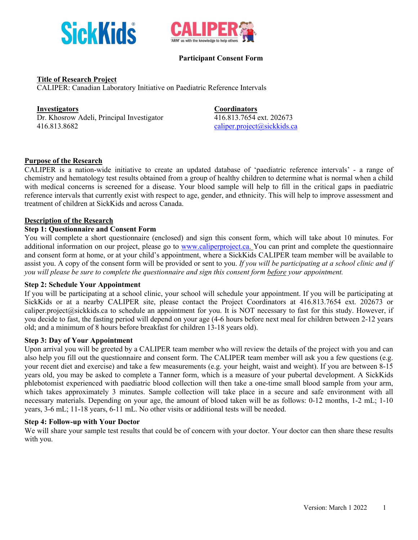



# **Participant Consent Form**

# **Title of Research Project**

CALIPER: Canadian Laboratory Initiative on Paediatric Reference Intervals

# **Investigators Coordinators**

Dr. Khosrow Adeli, Principal Investigator 416.813.7654 ext. 202673 416.813.8682 caliper.project@sickkids.ca

# **Purpose of the Research**

CALIPER is a nation-wide initiative to create an updated database of 'paediatric reference intervals' - a range of chemistry and hematology test results obtained from a group of healthy children to determine what is normal when a child with medical concerns is screened for a disease. Your blood sample will help to fill in the critical gaps in paediatric reference intervals that currently exist with respect to age, gender, and ethnicity. This will help to improve assessment and treatment of children at SickKids and across Canada.

## **Description of the Research**

#### **Step 1: Questionnaire and Consent Form**

You will complete a short questionnaire (enclosed) and sign this consent form, which will take about 10 minutes. For additional information on our project, please go to www.caliperproject.ca. You can print and complete the questionnaire and consent form at home, or at your child's appointment, where a SickKids CALIPER team member will be available to assist you. A copy of the consent form will be provided or sent to you. *If you will be participating at a school clinic and if you will please be sure to complete the questionnaire and sign this consent form before your appointment.*

# **Step 2: Schedule Your Appointment**

If you will be participating at a school clinic, your school will schedule your appointment. If you will be participating at SickKids or at a nearby CALIPER site, please contact the Project Coordinators at 416.813.7654 ext. 202673 or caliper.project@sickkids.ca to schedule an appointment for you. It is NOT necessary to fast for this study. However, if you decide to fast, the fasting period will depend on your age (4-6 hours before next meal for children between 2-12 years old; and a minimum of 8 hours before breakfast for children 13-18 years old).

## **Step 3: Day of Your Appointment**

Upon arrival you will be greeted by a CALIPER team member who will review the details of the project with you and can also help you fill out the questionnaire and consent form. The CALIPER team member will ask you a few questions (e.g. your recent diet and exercise) and take a few measurements (e.g. your height, waist and weight). If you are between 8-15 years old, you may be asked to complete a Tanner form, which is a measure of your pubertal development. A SickKids phlebotomist experienced with paediatric blood collection will then take a one-time small blood sample from your arm, which takes approximately 3 minutes. Sample collection will take place in a secure and safe environment with all necessary materials. Depending on your age, the amount of blood taken will be as follows: 0-12 months, 1-2 mL; 1-10 years, 3-6 mL; 11-18 years, 6-11 mL. No other visits or additional tests will be needed.

#### **Step 4: Follow-up with Your Doctor**

We will share your sample test results that could be of concern with your doctor. Your doctor can then share these results with you.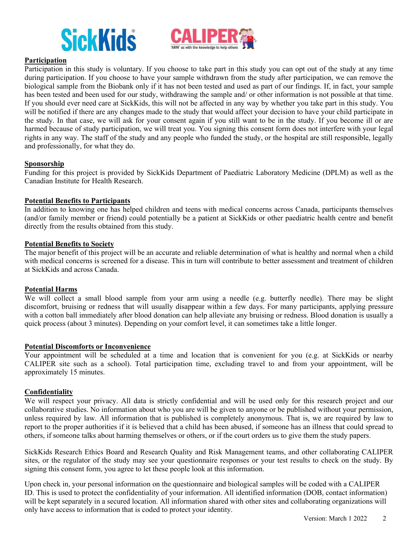



# **Participation**

Participation in this study is voluntary. If you choose to take part in this study you can opt out of the study at any time during participation. If you choose to have your sample withdrawn from the study after participation, we can remove the biological sample from the Biobank only if it has not been tested and used as part of our findings. If, in fact, your sample has been tested and been used for our study, withdrawing the sample and/ or other information is not possible at that time. If you should ever need care at SickKids, this will not be affected in any way by whether you take part in this study. You will be notified if there are any changes made to the study that would affect your decision to have your child participate in the study. In that case, we will ask for your consent again if you still want to be in the study. If you become ill or are harmed because of study participation, we will treat you. You signing this consent form does not interfere with your legal rights in any way. The staff of the study and any people who funded the study, or the hospital are still responsible, legally and professionally, for what they do.

## **Sponsorship**

Funding for this project is provided by SickKids Department of Paediatric Laboratory Medicine (DPLM) as well as the Canadian Institute for Health Research.

#### **Potential Benefits to Participants**

In addition to knowing one has helped children and teens with medical concerns across Canada, participants themselves (and/or family member or friend) could potentially be a patient at SickKids or other paediatric health centre and benefit directly from the results obtained from this study.

#### **Potential Benefits to Society**

The major benefit of this project will be an accurate and reliable determination of what is healthy and normal when a child with medical concerns is screened for a disease. This in turn will contribute to better assessment and treatment of children at SickKids and across Canada.

#### **Potential Harms**

We will collect a small blood sample from your arm using a needle (e.g. butterfly needle). There may be slight discomfort, bruising or redness that will usually disappear within a few days. For many participants, applying pressure with a cotton ball immediately after blood donation can help alleviate any bruising or redness. Blood donation is usually a quick process (about 3 minutes). Depending on your comfort level, it can sometimes take a little longer.

## **Potential Discomforts or Inconvenience**

Your appointment will be scheduled at a time and location that is convenient for you (e.g. at SickKids or nearby CALIPER site such as a school). Total participation time, excluding travel to and from your appointment, will be approximately 15 minutes.

## **Confidentiality**

We will respect your privacy. All data is strictly confidential and will be used only for this research project and our collaborative studies. No information about who you are will be given to anyone or be published without your permission, unless required by law. All information that is published is completely anonymous. That is, we are required by law to report to the proper authorities if it is believed that a child has been abused, if someone has an illness that could spread to others, if someone talks about harming themselves or others, or if the court orders us to give them the study papers.

SickKids Research Ethics Board and Research Quality and Risk Management teams, and other collaborating CALIPER sites, or the regulator of the study may see your questionnaire responses or your test results to check on the study. By signing this consent form, you agree to let these people look at this information.

Upon check in, your personal information on the questionnaire and biological samples will be coded with a CALIPER ID. This is used to protect the confidentiality of your information. All identified information (DOB, contact information) will be kept separately in a secured location. All information shared with other sites and collaborating organizations will only have access to information that is coded to protect your identity.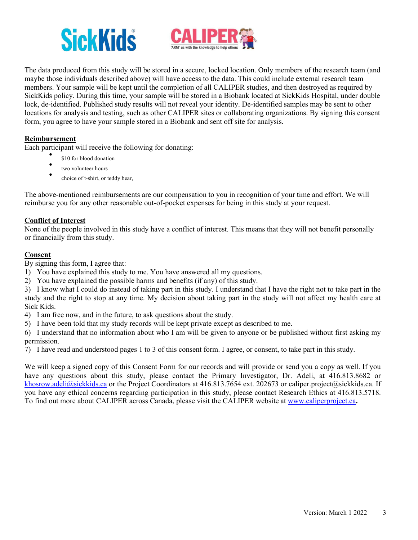# **SickKids**



The data produced from this study will be stored in a secure, locked location. Only members of the research team (and maybe those individuals described above) will have access to the data. This could include external research team members. Your sample will be kept until the completion of all CALIPER studies, and then destroyed as required by SickKids policy. During this time, your sample will be stored in a Biobank located at SickKids Hospital, under double lock, de-identified. Published study results will not reveal your identity. De-identified samples may be sent to other locations for analysis and testing, such as other CALIPER sites or collaborating organizations. By signing this consent form, you agree to have your sample stored in a Biobank and sent off site for analysis.

# **Reimbursement**

Each participant will receive the following for donating:<br>\$10 for blood donation

- 
- two volunteer hours
- choice of t-shirt, or teddy bear,

The above-mentioned reimbursements are our compensation to you in recognition of your time and effort. We will reimburse you for any other reasonable out-of-pocket expenses for being in this study at your request.

# **Conflict of Interest**

None of the people involved in this study have a conflict of interest. This means that they will not benefit personally or financially from this study.

# **Consent**

By signing this form, I agree that:

1) You have explained this study to me. You have answered all my questions.

2) You have explained the possible harms and benefits (if any) of this study.

3) I know what I could do instead of taking part in this study. I understand that I have the right not to take part in the study and the right to stop at any time. My decision about taking part in the study will not affect my health care at Sick Kids.

- 4) I am free now, and in the future, to ask questions about the study.
- 5) I have been told that my study records will be kept private except as described to me.

6) I understand that no information about who I am will be given to anyone or be published without first asking my permission.

7) I have read and understood pages 1 to 3 of this consent form. I agree, or consent, to take part in this study.

We will keep a signed copy of this Consent Form for our records and will provide or send you a copy as well. If you have any questions about this study, please contact the Primary Investigator, Dr. Adeli, at 416.813.8682 or khosrow.adeli@sickkids.ca or the Project Coordinators at 416.813.7654 ext. 202673 or caliper.project@sickkids.ca. If you have any ethical concerns regarding participation in this study, please contact Research Ethics at 416.813.5718. To find out more about CALIPER across Canada, please visit the CALIPER website at www.caliperproject.ca**.**